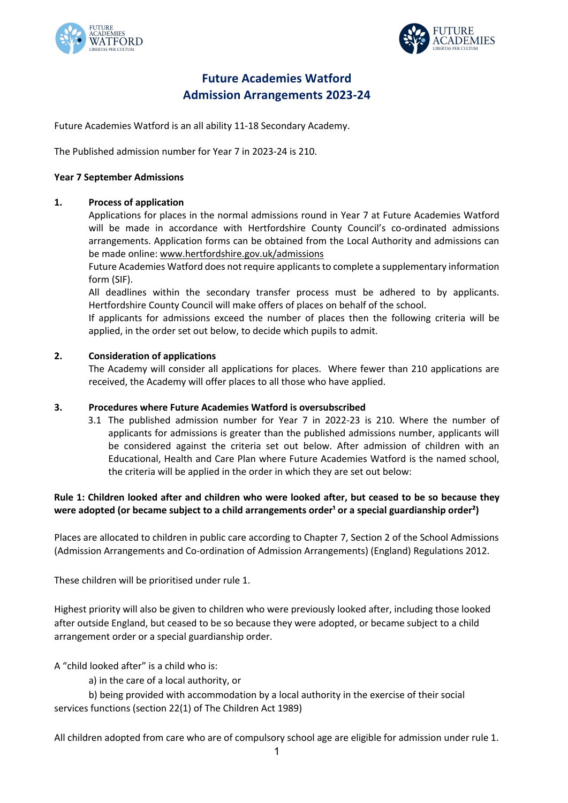



# **Future Academies Watford Admission Arrangements 2023-24**

Future Academies Watford is an all ability 11-18 Secondary Academy.

The Published admission number for Year 7 in 2023-24 is 210.

## **Year 7 September Admissions**

## **1. Process of application**

Applications for places in the normal admissions round in Year 7 at Future Academies Watford will be made in accordance with Hertfordshire County Council's co-ordinated admissions arrangements. Application forms can be obtained from the Local Authority and admissions can be made online: www.hertfordshire.gov.uk/admissions

Future Academies Watford does not require applicants to complete a supplementary information form (SIF).

All deadlines within the secondary transfer process must be adhered to by applicants. Hertfordshire County Council will make offers of places on behalf of the school.

If applicants for admissions exceed the number of places then the following criteria will be applied, in the order set out below, to decide which pupils to admit.

## **2. Consideration of applications**

The Academy will consider all applications for places. Where fewer than 210 applications are received, the Academy will offer places to all those who have applied.

#### **3. Procedures where Future Academies Watford is oversubscribed**

3.1 The published admission number for Year 7 in 2022-23 is 210. Where the number of applicants for admissions is greater than the published admissions number, applicants will be considered against the criteria set out below. After admission of children with an Educational, Health and Care Plan where Future Academies Watford is the named school, the criteria will be applied in the order in which they are set out below:

# **Rule 1: Children looked after and children who were looked after, but ceased to be so because they**  were adopted (or became subject to a child arrangements order<sup>1</sup> or a special guardianship order<sup>2</sup>)

Places are allocated to children in public care according to Chapter 7, Section 2 of the School Admissions (Admission Arrangements and Co-ordination of Admission Arrangements) (England) Regulations 2012.

These children will be prioritised under rule 1.

Highest priority will also be given to children who were previously looked after, including those looked after outside England, but ceased to be so because they were adopted, or became subject to a child arrangement order or a special guardianship order.

A "child looked after" is a child who is:

a) in the care of a local authority, or

b) being provided with accommodation by a local authority in the exercise of their social services functions (section 22(1) of The Children Act 1989)

All children adopted from care who are of compulsory school age are eligible for admission under rule 1.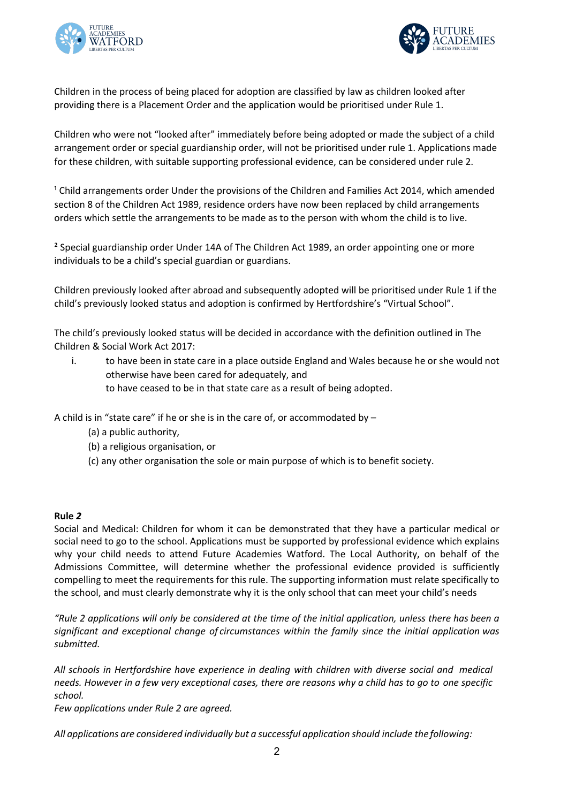



Children in the process of being placed for adoption are classified by law as children looked after providing there is a Placement Order and the application would be prioritised under Rule 1.

Children who were not "looked after" immediately before being adopted or made the subject of a child arrangement order or special guardianship order, will not be prioritised under rule 1. Applications made for these children, with suitable supporting professional evidence, can be considered under rule 2.

<sup>1</sup> Child arrangements order Under the provisions of the Children and Families Act 2014, which amended section 8 of the Children Act 1989, residence orders have now been replaced by child arrangements orders which settle the arrangements to be made as to the person with whom the child is to live.

² Special guardianship order Under 14A of The Children Act 1989, an order appointing one or more individuals to be a child's special guardian or guardians.

Children previously looked after abroad and subsequently adopted will be prioritised under Rule 1 if the child's previously looked status and adoption is confirmed by Hertfordshire's "Virtual School".

The child's previously looked status will be decided in accordance with the definition outlined in The Children & Social Work Act 2017:

i. to have been in state care in a place outside England and Wales because he or she would not otherwise have been cared for adequately, and to have ceased to be in that state care as a result of being adopted.

A child is in "state care" if he or she is in the care of, or accommodated by –

- (a) a public authority,
- (b) a religious organisation, or
- (c) any other organisation the sole or main purpose of which is to benefit society.

#### **Rule** *2*

Social and Medical: Children for whom it can be demonstrated that they have a particular medical or social need to go to the school. Applications must be supported by professional evidence which explains why your child needs to attend Future Academies Watford. The Local Authority, on behalf of the Admissions Committee, will determine whether the professional evidence provided is sufficiently compelling to meet the requirements for this rule. The supporting information must relate specifically to the school, and must clearly demonstrate why it is the only school that can meet your child's needs

*"Rule 2 applications will only be considered at the time of the initial application, unless there has been a significant and exceptional change of circumstances within the family since the initial application was submitted.*

*All schools in Hertfordshire have experience in dealing with children with diverse social and medical needs. However in a few very exceptional cases, there are reasons why a child has to go to one specific school.*

*Few applications under Rule 2 are agreed.* 

*All applications are considered individually but a successful application should include the following:*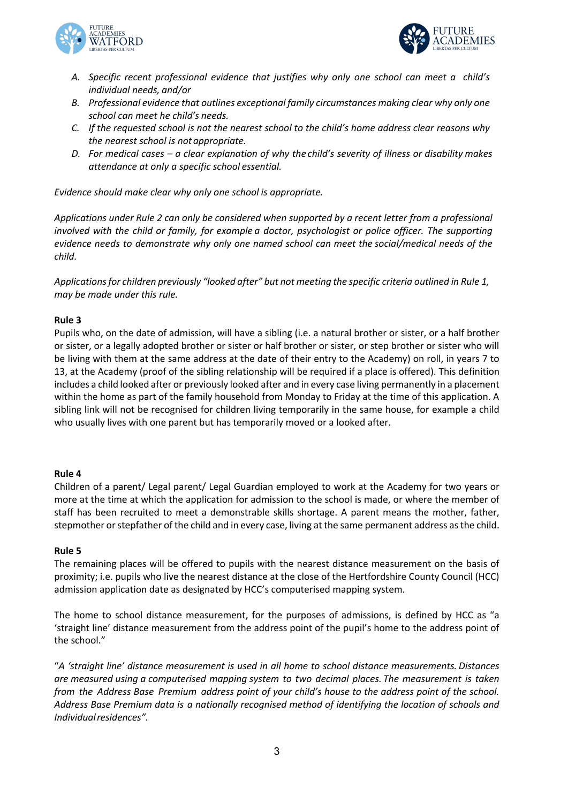



- *A. Specific recent professional evidence that justifies why only one school can meet a child's individual needs, and/or*
- *B. Professional evidence that outlines exceptional family circumstances making clear why only one school can meet he child's needs.*
- *C. If the requested school is not the nearest school to the child's home address clear reasons why the nearest school is notappropriate.*
- *D. For medical cases – a clear explanation of why the child's severity of illness or disability makes attendance at only a specific school essential.*

*Evidence should make clear why only one school is appropriate.*

*Applications under Rule 2 can only be considered when supported by a recent letter from a professional involved with the child or family, for example a doctor, psychologist or police officer. The supporting evidence needs to demonstrate why only one named school can meet the social/medical needs of the child.*

*Applicationsfor children previously "looked after" but not meeting the specific criteria outlined in Rule 1, may be made under this rule.*

## **Rule 3**

Pupils who, on the date of admission, will have a sibling (i.e. a natural brother or sister, or a half brother or sister, or a legally adopted brother or sister or half brother or sister, or step brother or sister who will be living with them at the same address at the date of their entry to the Academy) on roll, in years 7 to 13, at the Academy (proof of the sibling relationship will be required if a place is offered). This definition includes a child looked after or previously looked after and in every case living permanently in a placement within the home as part of the family household from Monday to Friday at the time of this application. A sibling link will not be recognised for children living temporarily in the same house, for example a child who usually lives with one parent but has temporarily moved or a looked after.

#### **Rule 4**

Children of a parent/ Legal parent/ Legal Guardian employed to work at the Academy for two years or more at the time at which the application for admission to the school is made, or where the member of staff has been recruited to meet a demonstrable skills shortage. A parent means the mother, father, stepmother or stepfather of the child and in every case, living at the same permanent address as the child.

#### **Rule 5**

The remaining places will be offered to pupils with the nearest distance measurement on the basis of proximity; i.e. pupils who live the nearest distance at the close of the Hertfordshire County Council (HCC) admission application date as designated by HCC's computerised mapping system.

The home to school distance measurement, for the purposes of admissions, is defined by HCC as "a 'straight line' distance measurement from the address point of the pupil's home to the address point of the school."

"*A 'straight line' distance measurement is used in all home to school distance measurements. Distances are measured using a computerised mapping system to two decimal places. The measurement is taken from the Address Base Premium address point of your child's house to the address point of the school. Address Base Premium data is a nationally recognised method of identifying the location of schools and Individualresidences".*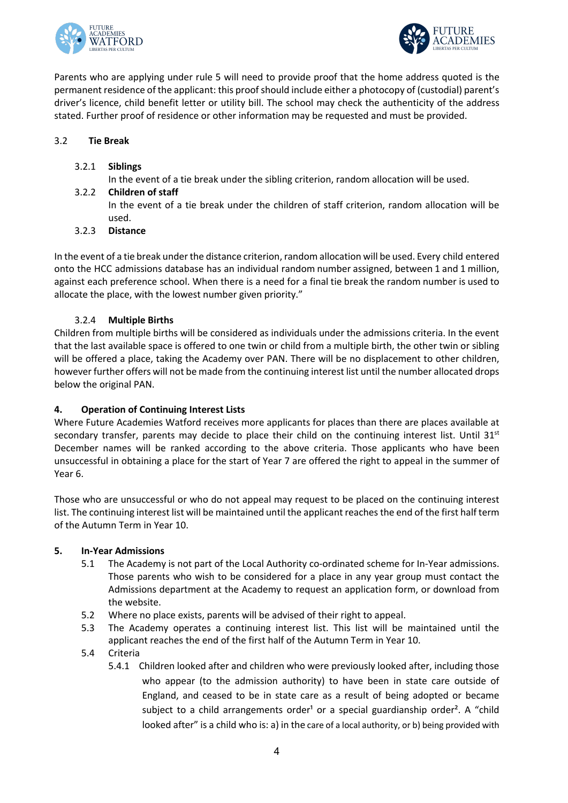



Parents who are applying under rule 5 will need to provide proof that the home address quoted is the permanent residence of the applicant: this proof should include either a photocopy of (custodial) parent's driver's licence, child benefit letter or utility bill. The school may check the authenticity of the address stated. Further proof of residence or other information may be requested and must be provided.

# 3.2 **Tie Break**

3.2.1 **Siblings**

In the event of a tie break under the sibling criterion, random allocation will be used.

3.2.2 **Children of staff**

In the event of a tie break under the children of staff criterion, random allocation will be used.

3.2.3 **Distance**

In the event of a tie break under the distance criterion, random allocation will be used. Every child entered onto the HCC admissions database has an individual random number assigned, between 1 and 1 million, against each preference school. When there is a need for a final tie break the random number is used to allocate the place, with the lowest number given priority."

# 3.2.4 **Multiple Births**

Children from multiple births will be considered as individuals under the admissions criteria. In the event that the last available space is offered to one twin or child from a multiple birth, the other twin or sibling will be offered a place, taking the Academy over PAN. There will be no displacement to other children, however further offers will not be made from the continuing interest list until the number allocated drops below the original PAN.

# **4. Operation of Continuing Interest Lists**

Where Future Academies Watford receives more applicants for places than there are places available at secondary transfer, parents may decide to place their child on the continuing interest list. Until  $31<sup>st</sup>$ December names will be ranked according to the above criteria. Those applicants who have been unsuccessful in obtaining a place for the start of Year 7 are offered the right to appeal in the summer of Year 6.

Those who are unsuccessful or who do not appeal may request to be placed on the continuing interest list. The continuing interest list will be maintained until the applicant reaches the end of the first half term of the Autumn Term in Year 10.

# **5. In-Year Admissions**

- 5.1 The Academy is not part of the Local Authority co-ordinated scheme for In-Year admissions. Those parents who wish to be considered for a place in any year group must contact the Admissions department at the Academy to request an application form, or download from the website.
- 5.2 Where no place exists, parents will be advised of their right to appeal.
- 5.3 The Academy operates a continuing interest list. This list will be maintained until the applicant reaches the end of the first half of the Autumn Term in Year 10.
- 5.4 Criteria
	- 5.4.1 Children looked after and children who were previously looked after, including those who appear (to the admission authority) to have been in state care outside of England, and ceased to be in state care as a result of being adopted or became subject to a child arrangements order<sup>1</sup> or a special guardianship order<sup>2</sup>. A "child looked after" is a child who is: a) in the care of a local authority, or b) being provided with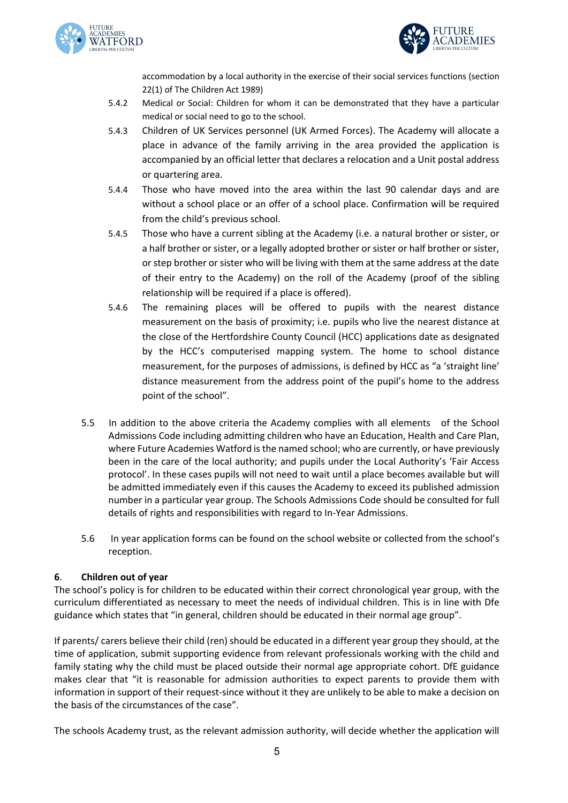



accommodation by a local authority in the exercise of their social services functions (section 22(1) of The Children Act 1989)

- 5.4.2 Medical or Social: Children for whom it can be demonstrated that they have a particular medical or social need to go to the school.
- 5.4.3 Children of UK Services personnel (UK Armed Forces). The Academy will allocate a place in advance of the family arriving in the area provided the application is accompanied by an official letter that declares a relocation and a Unit postal address or quartering area.
- 5.4.4 Those who have moved into the area within the last 90 calendar days and are without a school place or an offer of a school place. Confirmation will be required from the child's previous school.
- 5.4.5 Those who have a current sibling at the Academy (i.e. a natural brother or sister, or a half brother or sister, or a legally adopted brother or sister or half brother or sister, or step brother or sister who will be living with them at the same address at the date of their entry to the Academy) on the roll of the Academy (proof of the sibling relationship will be required if a place is offered).
- 5.4.6 The remaining places will be offered to pupils with the nearest distance measurement on the basis of proximity; i.e. pupils who live the nearest distance at the close of the Hertfordshire County Council (HCC) applications date as designated by the HCC's computerised mapping system. The home to school distance measurement, for the purposes of admissions, is defined by HCC as "a 'straight line' distance measurement from the address point of the pupil's home to the address point of the school".
- 5.5 In addition to the above criteria the Academy complies with all elements of the School Admissions Code including admitting children who have an Education, Health and Care Plan, where Future Academies Watford is the named school; who are currently, or have previously been in the care of the local authority; and pupils under the Local Authority's 'Fair Access protocol'. In these cases pupils will not need to wait until a place becomes available but will be admitted immediately even if this causes the Academy to exceed its published admission number in a particular year group. The Schools Admissions Code should be consulted for full details of rights and responsibilities with regard to In-Year Admissions.
- 5.6 In year application forms can be found on the school website or collected from the school's reception.

# **6**. **Children out of year**

The school's policy is for children to be educated within their correct chronological year group, with the curriculum differentiated as necessary to meet the needs of individual children. This is in line with Dfe guidance which states that "in general, children should be educated in their normal age group".

If parents/ carers believe their child (ren) should be educated in a different year group they should, at the time of application, submit supporting evidence from relevant professionals working with the child and family stating why the child must be placed outside their normal age appropriate cohort. DfE guidance makes clear that "it is reasonable for admission authorities to expect parents to provide them with information in support of their request-since without it they are unlikely to be able to make a decision on the basis of the circumstances of the case".

The schools Academy trust, as the relevant admission authority, will decide whether the application will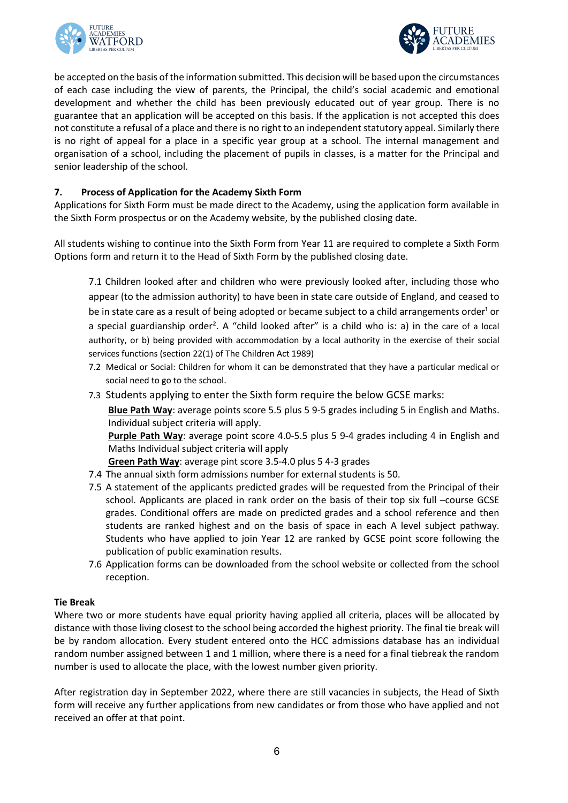



be accepted on the basis of the information submitted. This decision will be based upon the circumstances of each case including the view of parents, the Principal, the child's social academic and emotional development and whether the child has been previously educated out of year group. There is no guarantee that an application will be accepted on this basis. If the application is not accepted this does not constitute a refusal of a place and there is no right to an independent statutory appeal. Similarly there is no right of appeal for a place in a specific year group at a school. The internal management and organisation of a school, including the placement of pupils in classes, is a matter for the Principal and senior leadership of the school.

#### **7. Process of Application for the Academy Sixth Form**

Applications for Sixth Form must be made direct to the Academy, using the application form available in the Sixth Form prospectus or on the Academy website, by the published closing date.

All students wishing to continue into the Sixth Form from Year 11 are required to complete a Sixth Form Options form and return it to the Head of Sixth Form by the published closing date.

7.1 Children looked after and children who were previously looked after, including those who appear (to the admission authority) to have been in state care outside of England, and ceased to be in state care as a result of being adopted or became subject to a child arrangements order<sup>1</sup> or a special guardianship order². A "child looked after" is a child who is: a) in the care of a local authority, or b) being provided with accommodation by a local authority in the exercise of their social services functions (section 22(1) of The Children Act 1989)

- 7.2 Medical or Social: Children for whom it can be demonstrated that they have a particular medical or social need to go to the school.
- 7.3 Students applying to enter the Sixth form require the below GCSE marks:

**Blue Path Way**: average points score 5.5 plus 5 9-5 grades including 5 in English and Maths. Individual subject criteria will apply.

**Purple Path Way**: average point score 4.0-5.5 plus 5 9-4 grades including 4 in English and Maths Individual subject criteria will apply

**Green Path Way**: average pint score 3.5-4.0 plus 5 4-3 grades

- 7.4 The annual sixth form admissions number for external students is 50.
- 7.5 A statement of the applicants predicted grades will be requested from the Principal of their school. Applicants are placed in rank order on the basis of their top six full –course GCSE grades. Conditional offers are made on predicted grades and a school reference and then students are ranked highest and on the basis of space in each A level subject pathway. Students who have applied to join Year 12 are ranked by GCSE point score following the publication of public examination results.
- 7.6 Application forms can be downloaded from the school website or collected from the school reception.

#### **Tie Break**

Where two or more students have equal priority having applied all criteria, places will be allocated by distance with those living closest to the school being accorded the highest priority. The final tie break will be by random allocation. Every student entered onto the HCC admissions database has an individual random number assigned between 1 and 1 million, where there is a need for a final tiebreak the random number is used to allocate the place, with the lowest number given priority.

After registration day in September 2022, where there are still vacancies in subjects, the Head of Sixth form will receive any further applications from new candidates or from those who have applied and not received an offer at that point.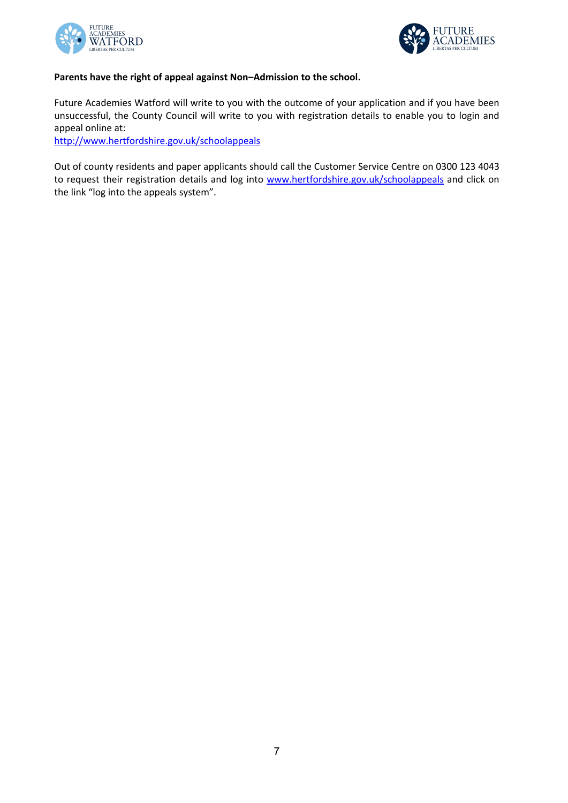



# **Parents have the right of appeal against Non–Admission to the school.**

Future Academies Watford will write to you with the outcome of your application and if you have been unsuccessful, the County Council will write to you with registration details to enable you to login and appeal online at:

http://www.hertfordshire.gov.uk/schoolappeals

Out of county residents and paper applicants should call the Customer Service Centre on 0300 123 4043 to request their registration details and log into www.hertfordshire.gov.uk/schoolappeals and click on the link "log into the appeals system".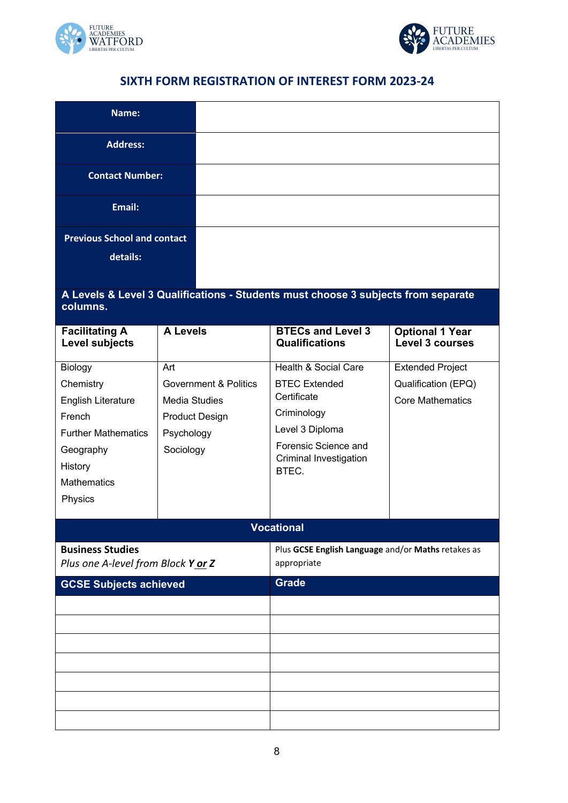



# **SIXTH FORM REGISTRATION OF INTEREST FORM 2023-24**

| Name:                                                                                                                                       |                                                                                                                     |                                                                                                                                                                     |                                                                           |  |  |  |
|---------------------------------------------------------------------------------------------------------------------------------------------|---------------------------------------------------------------------------------------------------------------------|---------------------------------------------------------------------------------------------------------------------------------------------------------------------|---------------------------------------------------------------------------|--|--|--|
| <b>Address:</b>                                                                                                                             |                                                                                                                     |                                                                                                                                                                     |                                                                           |  |  |  |
| <b>Contact Number:</b>                                                                                                                      |                                                                                                                     |                                                                                                                                                                     |                                                                           |  |  |  |
| Email:                                                                                                                                      |                                                                                                                     |                                                                                                                                                                     |                                                                           |  |  |  |
| <b>Previous School and contact</b><br>details:                                                                                              |                                                                                                                     |                                                                                                                                                                     |                                                                           |  |  |  |
| A Levels & Level 3 Qualifications - Students must choose 3 subjects from separate<br>columns.                                               |                                                                                                                     |                                                                                                                                                                     |                                                                           |  |  |  |
| <b>Facilitating A</b><br><b>Level subjects</b>                                                                                              | <b>A Levels</b>                                                                                                     | <b>BTECs and Level 3</b><br><b>Qualifications</b>                                                                                                                   | <b>Optional 1 Year</b><br><b>Level 3 courses</b>                          |  |  |  |
| Biology<br>Chemistry<br>English Literature<br>French<br><b>Further Mathematics</b><br>Geography<br>History<br><b>Mathematics</b><br>Physics | Art<br><b>Government &amp; Politics</b><br><b>Media Studies</b><br><b>Product Design</b><br>Psychology<br>Sociology | <b>Health &amp; Social Care</b><br><b>BTEC Extended</b><br>Certificate<br>Criminology<br>Level 3 Diploma<br>Forensic Science and<br>Criminal Investigation<br>BTEC. | <b>Extended Project</b><br>Qualification (EPQ)<br><b>Core Mathematics</b> |  |  |  |
|                                                                                                                                             |                                                                                                                     | <b>Vocational</b>                                                                                                                                                   |                                                                           |  |  |  |
| <b>Business Studies</b><br>Plus one A-level from Block Yor Z                                                                                |                                                                                                                     | Plus GCSE English Language and/or Maths retakes as<br>appropriate                                                                                                   |                                                                           |  |  |  |
| <b>GCSE Subjects achieved</b>                                                                                                               |                                                                                                                     | <b>Grade</b>                                                                                                                                                        |                                                                           |  |  |  |
|                                                                                                                                             |                                                                                                                     |                                                                                                                                                                     |                                                                           |  |  |  |
|                                                                                                                                             |                                                                                                                     |                                                                                                                                                                     |                                                                           |  |  |  |
|                                                                                                                                             |                                                                                                                     |                                                                                                                                                                     |                                                                           |  |  |  |
|                                                                                                                                             |                                                                                                                     |                                                                                                                                                                     |                                                                           |  |  |  |
|                                                                                                                                             |                                                                                                                     |                                                                                                                                                                     |                                                                           |  |  |  |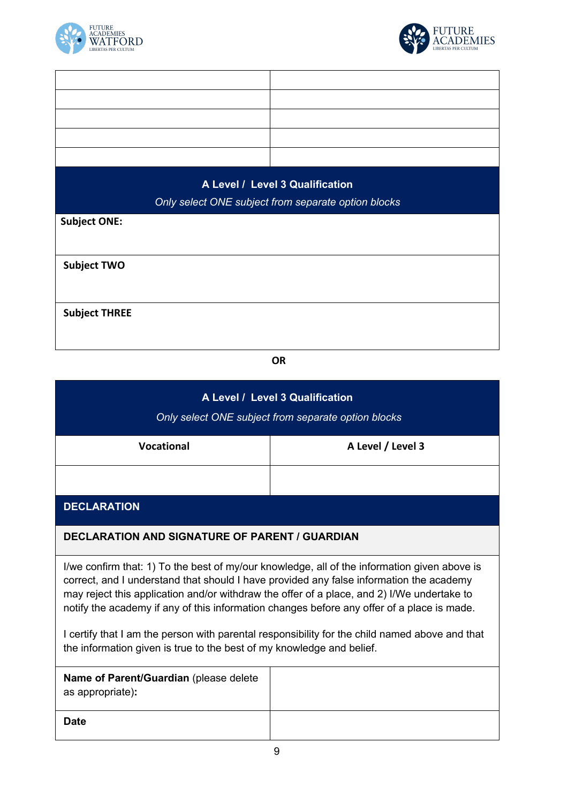

 $\mathbf{r}$ 



L,

| A Level / Level 3 Qualification<br>Only select ONE subject from separate option blocks |  |  |  |  |
|----------------------------------------------------------------------------------------|--|--|--|--|
| <b>Subject ONE:</b>                                                                    |  |  |  |  |
|                                                                                        |  |  |  |  |
| <b>Subject TWO</b>                                                                     |  |  |  |  |
|                                                                                        |  |  |  |  |
| <b>Subject THREE</b>                                                                   |  |  |  |  |
|                                                                                        |  |  |  |  |

**OR**

| A Level / Level 3 Qualification<br>Only select ONE subject from separate option blocks                                                                                                                                                                                                                                                                                              |                   |  |  |  |
|-------------------------------------------------------------------------------------------------------------------------------------------------------------------------------------------------------------------------------------------------------------------------------------------------------------------------------------------------------------------------------------|-------------------|--|--|--|
| <b>Vocational</b>                                                                                                                                                                                                                                                                                                                                                                   | A Level / Level 3 |  |  |  |
|                                                                                                                                                                                                                                                                                                                                                                                     |                   |  |  |  |
| <b>DECLARATION</b>                                                                                                                                                                                                                                                                                                                                                                  |                   |  |  |  |
| <b>DECLARATION AND SIGNATURE OF PARENT / GUARDIAN</b>                                                                                                                                                                                                                                                                                                                               |                   |  |  |  |
| I/we confirm that: 1) To the best of my/our knowledge, all of the information given above is<br>correct, and I understand that should I have provided any false information the academy<br>may reject this application and/or withdraw the offer of a place, and 2) I/We undertake to<br>notify the academy if any of this information changes before any offer of a place is made. |                   |  |  |  |
| I certify that I am the person with parental responsibility for the child named above and that<br>the information given is true to the best of my knowledge and belief.                                                                                                                                                                                                             |                   |  |  |  |
| Name of Parent/Guardian (please delete<br>as appropriate):                                                                                                                                                                                                                                                                                                                          |                   |  |  |  |
| <b>Date</b>                                                                                                                                                                                                                                                                                                                                                                         |                   |  |  |  |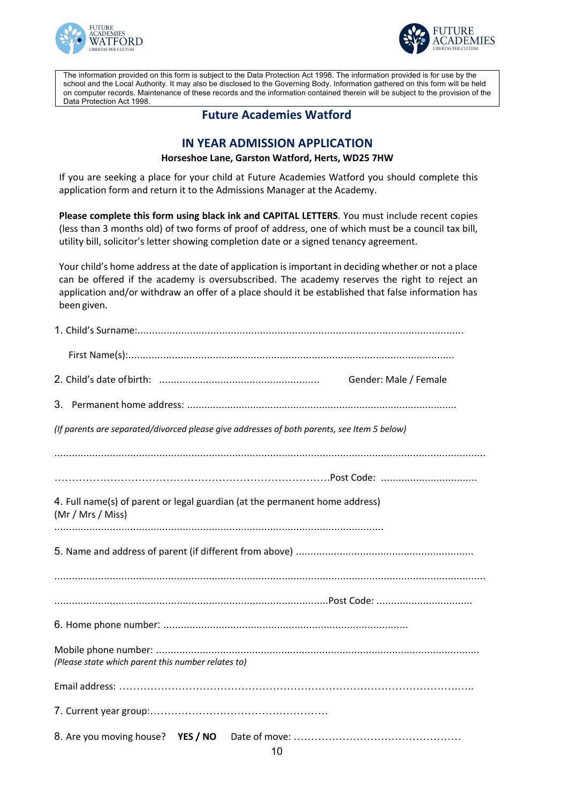



The information provided on this form is subject to the Data Protection Act 1998. The information provided is for use by the school and the Local Authority. It may also be disclosed to the Governing Body. Information gathered on this form will be held on computer records. Maintenance of these records and the information contained therein will be subject to the provision of the Data Protection Act 1998.

# **Future Academies Watford**

# **IN YEAR ADMISSION APPLICATION**

#### **Horseshoe Lane, Garston Watford, Herts, WD25 7HW**

If you are seeking a place for your child at Future Academies Watford you should complete this application form and return it to the Admissions Manager at the Academy.

**Please complete this form using black ink and CAPITAL LETTERS**. You must include recent copies (less than 3 months old) of two forms of proof of address, one of which must be a council tax bill, utility bill, solicitor's letter showing completion date or a signed tenancy agreement.

Your child's home address at the date of application is important in deciding whether or not a place can be offered if the academy is oversubscribed. The academy reserves the right to reject an application and/or withdraw an offer of a place should it be established that false information has been given.

| Gender: Male / Female                                                                            |
|--------------------------------------------------------------------------------------------------|
|                                                                                                  |
| (If parents are separated/divorced please give addresses of both parents, see Item 5 below)      |
|                                                                                                  |
|                                                                                                  |
| 4. Full name(s) of parent or legal guardian (at the permanent home address)<br>(Mr / Mrs / Miss) |
|                                                                                                  |
|                                                                                                  |
|                                                                                                  |
| (Please state which parent this number relates to)                                               |
|                                                                                                  |
|                                                                                                  |
|                                                                                                  |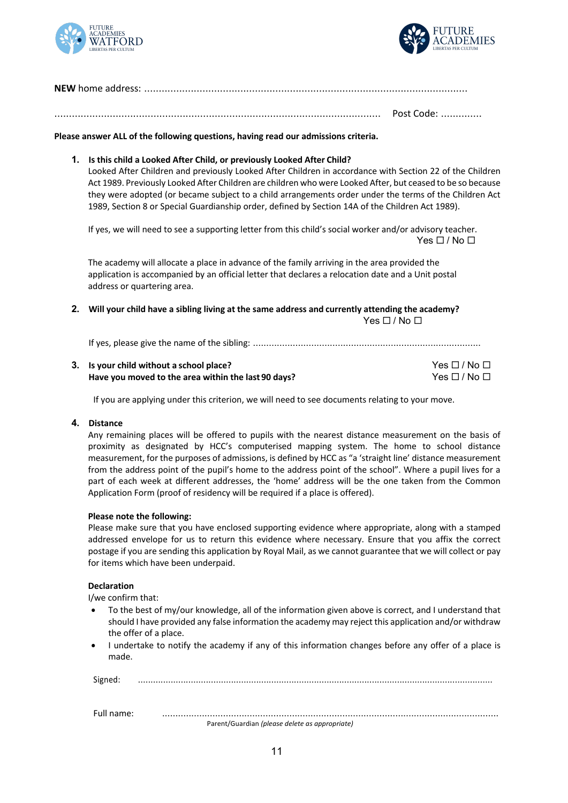



................................................................................................................ Post Code: ..............

**Please answer ALL of the following questions, having read our admissions criteria.**

#### **1. Is this child a Looked After Child, or previously Looked After Child?**

Looked After Children and previously Looked After Children in accordance with Section 22 of the Children Act 1989. Previously Looked After Children are children who were Looked After, but ceased to be so because they were adopted (or became subject to a child arrangements order under the terms of the Children Act 1989, Section 8 or Special Guardianship order, defined by Section 14A of the Children Act 1989).

If yes, we will need to see a supporting letter from this child's social worker and/or advisory teacher.  $Yes \Box / No \Box$ 

The academy will allocate a place in advance of the family arriving in the area provided the application is accompanied by an official letter that declares a relocation date and a Unit postal address or quartering area.

**2. Will your child have a sibling living at the same address and currently attending the academy?**  $Yes \Box / No \Box$ 

If yes, please give the name of the sibling: ......................................................................................

| 3. Is your child without a school place?            | $Yes \Box / No \Box$ |
|-----------------------------------------------------|----------------------|
| Have you moved to the area within the last 90 days? | $Yes \Box / No \Box$ |

If you are applying under this criterion, we will need to see documents relating to your move.

#### **4. Distance**

Any remaining places will be offered to pupils with the nearest distance measurement on the basis of proximity as designated by HCC's computerised mapping system. The home to school distance measurement, for the purposes of admissions, is defined by HCC as "a 'straight line' distance measurement from the address point of the pupil's home to the address point of the school". Where a pupil lives for a part of each week at different addresses, the 'home' address will be the one taken from the Common Application Form (proof of residency will be required if a place is offered).

#### **Please note the following:**

Please make sure that you have enclosed supporting evidence where appropriate, along with a stamped addressed envelope for us to return this evidence where necessary. Ensure that you affix the correct postage if you are sending this application by Royal Mail, as we cannot guarantee that we will collect or pay for items which have been underpaid.

#### **Declaration**

I/we confirm that:

- To the best of my/our knowledge, all of the information given above is correct, and I understand that should I have provided any false information the academy may reject this application and/or withdraw the offer of a place.
- I undertake to notify the academy if any of this information changes before any offer of a place is made.

Signed: .............................................................................................................................................

Full name: ...............................................................................................................................

Parent/Guardian *(please delete as appropriate)*